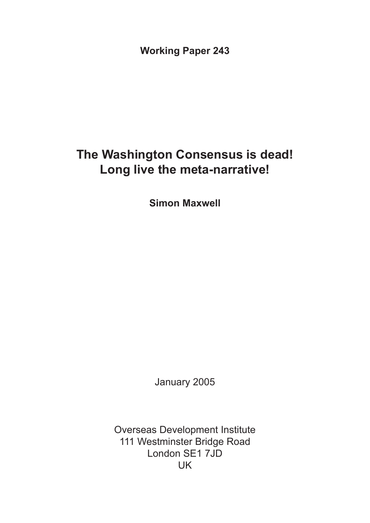**Working Paper 243**

# **The Washington Consensus is dead! Long live the meta-narrative!**

**Simon Maxwell**

January 2005

Overseas Development Institute 111 Westminster Bridge Road London SE1 7JD UK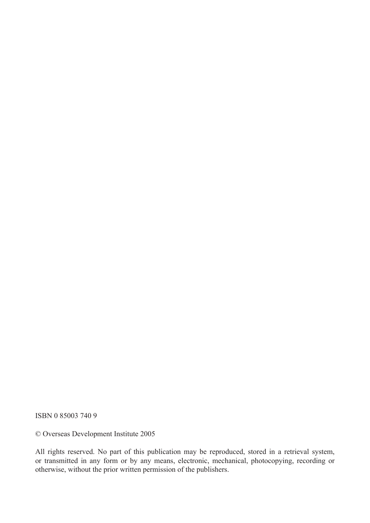ISBN 0 85003 740 9

© Overseas Development Institute 2005

All rights reserved. No part of this publication may be reproduced, stored in a retrieval system, or transmitted in any form or by any means, electronic, mechanical, photocopying, recording or otherwise, without the prior written permission of the publishers.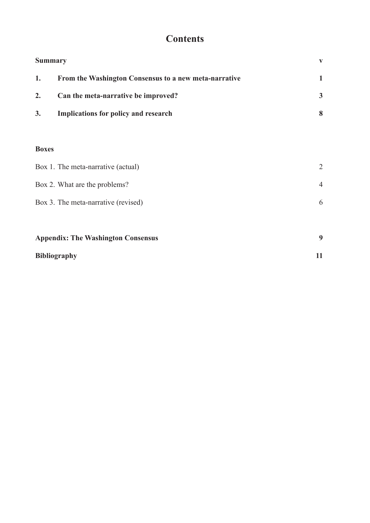# **Contents**

| <b>Summary</b> |                                                       | v |
|----------------|-------------------------------------------------------|---|
| 1.             | From the Washington Consensus to a new meta-narrative |   |
| 2.             | Can the meta-narrative be improved?                   | 3 |
| 3.             | Implications for policy and research                  | 8 |

#### **Boxes**

| <b>Appendix: The Washington Consensus</b> | 9              |
|-------------------------------------------|----------------|
| Box 3. The meta-narrative (revised)       | 6              |
| Box 2. What are the problems?             | $\overline{4}$ |
| Box 1. The meta-narrative (actual)        | 2              |

| Bibliography |  |
|--------------|--|
|              |  |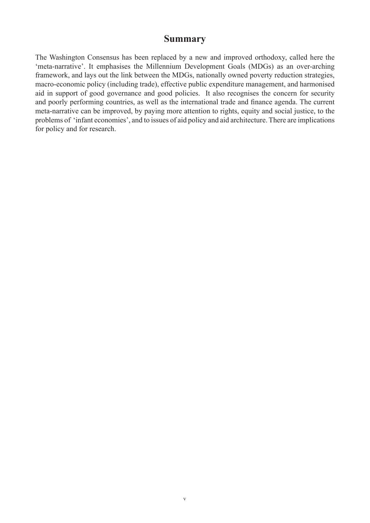### **Summary**

The Washington Consensus has been replaced by a new and improved orthodoxy, called here the 'meta-narrative'. It emphasises the Millennium Development Goals (MDGs) as an over-arching framework, and lays out the link between the MDGs, nationally owned poverty reduction strategies, macro-economic policy (including trade), effective public expenditure management, and harmonised aid in support of good governance and good policies. It also recognises the concern for security and poorly performing countries, as well as the international trade and finance agenda. The current meta-narrative can be improved, by paying more attention to rights, equity and social justice, to the problems of 'infant economies', and to issues of aid policy and aid architecture. There are implications for policy and for research.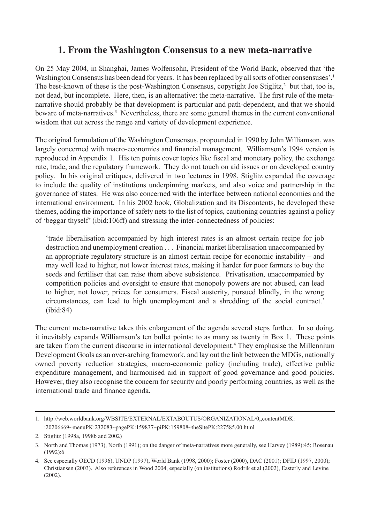# **1. From the Washington Consensus to a new meta-narrative**

On 25 May 2004, in Shanghai, James Wolfensohn, President of the World Bank, observed that 'the Washington Consensus has been dead for years. It has been replaced by all sorts of other consensuses'.<sup>1</sup> The best-known of these is the post-Washington Consensus, copyright Joe Stiglitz,<sup>2</sup> but that, too is, not dead, but incomplete. Here, then, is an alternative: the meta-narrative. The first rule of the metanarrative should probably be that development is particular and path-dependent, and that we should beware of meta-narratives.<sup>3</sup> Nevertheless, there are some general themes in the current conventional wisdom that cut across the range and variety of development experience.

The original formulation of the Washington Consensus, propounded in 1990 by John Williamson, was largely concerned with macro-economics and financial management. Williamson's 1994 version is reproduced in Appendix 1. His ten points cover topics like fiscal and monetary policy, the exchange rate, trade, and the regulatory framework. They do not touch on aid issues or on developed country policy. In his original critiques, delivered in two lectures in 1998, Stiglitz expanded the coverage to include the quality of institutions underpinning markets, and also voice and partnership in the governance of states. He was also concerned with the interface between national economies and the international environment. In his 2002 book, Globalization and its Discontents, he developed these themes, adding the importance of safety nets to the list of topics, cautioning countries against a policy of 'beggar thyself' (ibid:106ff) and stressing the inter-connectedness of policies:

'trade liberalisation accompanied by high interest rates is an almost certain recipe for job destruction and unemployment creation . . . Financial market liberalisation unaccompanied by an appropriate regulatory structure is an almost certain recipe for economic instability – and may well lead to higher, not lower interest rates, making it harder for poor farmers to buy the seeds and fertiliser that can raise them above subsistence. Privatisation, unaccompanied by competition policies and oversight to ensure that monopoly powers are not abused, can lead to higher, not lower, prices for consumers. Fiscal austerity, pursued blindly, in the wrong circumstances, can lead to high unemployment and a shredding of the social contract.' (ibid:84)

The current meta-narrative takes this enlargement of the agenda several steps further. In so doing, it inevitably expands Williamson's ten bullet points: to as many as twenty in Box 1. These points are taken from the current discourse in international development.<sup>4</sup> They emphasise the Millennium Development Goals as an over-arching framework, and lay out the link between the MDGs, nationally owned poverty reduction strategies, macro-economic policy (including trade), effective public expenditure management, and harmonised aid in support of good governance and good policies. However, they also recognise the concern for security and poorly performing countries, as well as the international trade and finance agenda.

<sup>1.</sup> http://web.worldbank.org/WBSITE/EXTERNAL/EXTABOUTUS/ORGANIZATIONAL/0,,contentMDK: :20206669~menuPK:232083~pagePK:159837~piPK:159808~theSitePK:227585,00.html

<sup>2.</sup> Stiglitz (1998a, 1998b and 2002)

<sup>3.</sup> North and Thomas (1973), North (1991); on the danger of meta-narratives more generally, see Harvey (1989):45; Rosenau (1992):6

<sup>4.</sup> See especially OECD (1996), UNDP (1997), World Bank (1998, 2000); Foster (2000), DAC (2001); DFID (1997, 2000); Christiansen (2003). Also references in Wood 2004, especially (on institutions) Rodrik et al (2002), Easterly and Levine (2002).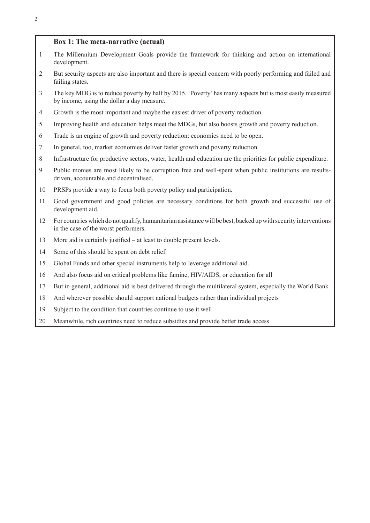#### **Box 1: The meta-narrative (actual)**

- The Millennium Development Goals provide the framework for thinking and action on international development.
- But security aspects are also important and there is special concern with poorly performing and failed and failing states.
- The key MDG is to reduce poverty by half by 2015. 'Poverty' has many aspects but is most easily measured by income, using the dollar a day measure.
- Growth is the most important and maybe the easiest driver of poverty reduction.
- Improving health and education helps meet the MDGs, but also boosts growth and poverty reduction.
- Trade is an engine of growth and poverty reduction: economies need to be open.
- In general, too, market economies deliver faster growth and poverty reduction.
- Infrastructure for productive sectors, water, health and education are the priorities for public expenditure.
- Public monies are most likely to be corruption free and well-spent when public institutions are resultsdriven, accountable and decentralised.
- PRSPs provide a way to focus both poverty policy and participation.
- Good government and good policies are necessary conditions for both growth and successful use of development aid.
- For countries which do not qualify, humanitarian assistance will be best, backed up with security interventions in the case of the worst performers.
- More aid is certainly justified at least to double present levels.
- Some of this should be spent on debt relief.
- Global Funds and other special instruments help to leverage additional aid.
- And also focus aid on critical problems like famine, HIV/AIDS, or education for all
- But in general, additional aid is best delivered through the multilateral system, especially the World Bank
- And wherever possible should support national budgets rather than individual projects
- Subject to the condition that countries continue to use it well
- Meanwhile, rich countries need to reduce subsidies and provide better trade access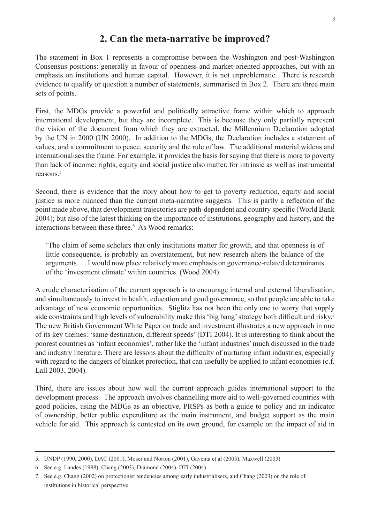### **2. Can the meta-narrative be improved?**

The statement in Box 1 represents a compromise between the Washington and post-Washington Consensus positions: generally in favour of openness and market-oriented approaches, but with an emphasis on institutions and human capital. However, it is not unproblematic. There is research evidence to qualify or question a number of statements, summarised in Box 2. There are three main sets of points.

First, the MDGs provide a powerful and politically attractive frame within which to approach international development, but they are incomplete. This is because they only partially represent the vision of the document from which they are extracted, the Millennium Declaration adopted by the UN in 2000 (UN 2000). In addition to the MDGs, the Declaration includes a statement of values, and a commitment to peace, security and the rule of law. The additional material widens and internationalises the frame. For example, it provides the basis for saying that there is more to poverty than lack of income: rights, equity and social justice also matter, for intrinsic as well as instrumental reasons.5

Second, there is evidence that the story about how to get to poverty reduction, equity and social justice is more nuanced than the current meta-narrative suggests. This is partly a reflection of the point made above, that development trajectories are path-dependent and country specific (World Bank 2004); but also of the latest thinking on the importance of institutions, geography and history, and the interactions between these three.<sup>6</sup> As Wood remarks:

'The claim of some scholars that only institutions matter for growth, and that openness is of little consequence, is probably an overstatement, but new research alters the balance of the arguments . . . I would now place relatively more emphasis on governance-related determinants of the 'investment climate' within countries. (Wood 2004).

A crude characterisation of the current approach is to encourage internal and external liberalisation, and simultaneously to invest in health, education and good governance, so that people are able to take advantage of new economic opportunities. Stiglitz has not been the only one to worry that supply side constraints and high levels of vulnerability make this 'big bang' strategy both difficult and risky.<sup>7</sup> The new British Government White Paper on trade and investment illustrates a new approach in one of its key themes: 'same destination, different speeds' (DTI 2004). It is interesting to think about the poorest countries as 'infant economies', rather like the 'infant industries' much discussed in the trade and industry literature. There are lessons about the difficulty of nurturing infant industries, especially with regard to the dangers of blanket protection, that can usefully be applied to infant economies (c.f. Lall 2003, 2004).

Third, there are issues about how well the current approach guides international support to the development process. The approach involves channelling more aid to well-governed countries with good policies, using the MDGs as an objective, PRSPs as both a guide to policy and an indicator of ownership, better public expenditure as the main instrument, and budget support as the main vehicle for aid. This approach is contested on its own ground, for example on the impact of aid in

<sup>5.</sup> UNDP (1990, 2000), DAC (2001), Moser and Norton (2001), Gaventa et al (2003), Maxwell (2003)

<sup>6.</sup> See e.g. Landes (1998), Chang (2003), Diamond (2004), DTI (2004)

<sup>7.</sup> See e.g. Chang (2002) on protectionist tendencies among early industrialisers, and Chang (2003) on the role of institutions in historical perspective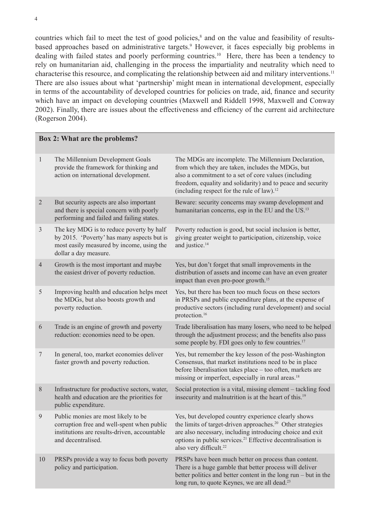countries which fail to meet the test of good policies,<sup>8</sup> and on the value and feasibility of resultsbased approaches based on administrative targets.<sup>9</sup> However, it faces especially big problems in dealing with failed states and poorly performing countries.<sup>10</sup> Here, there has been a tendency to rely on humanitarian aid, challenging in the process the impartiality and neutrality which need to characterise this resource, and complicating the relationship between aid and military interventions.11 There are also issues about what 'partnership' might mean in international development, especially in terms of the accountability of developed countries for policies on trade, aid, finance and security which have an impact on developing countries (Maxwell and Riddell 1998, Maxwell and Conway 2002). Finally, there are issues about the effectiveness and efficiency of the current aid architecture (Rogerson 2004).

#### **Box 2: What are the problems?**

| $\mathbf{1}$   | The Millennium Development Goals<br>provide the framework for thinking and<br>action on international development.                                           | The MDGs are incomplete. The Millennium Declaration,<br>from which they are taken, includes the MDGs, but<br>also a commitment to a set of core values (including<br>freedom, equality and solidarity) and to peace and security<br>(including respect for the rule of law). <sup>12</sup>                  |
|----------------|--------------------------------------------------------------------------------------------------------------------------------------------------------------|-------------------------------------------------------------------------------------------------------------------------------------------------------------------------------------------------------------------------------------------------------------------------------------------------------------|
| $\overline{2}$ | But security aspects are also important<br>and there is special concern with poorly<br>performing and failed and failing states.                             | Beware: security concerns may swamp development and<br>humanitarian concerns, esp in the EU and the US. <sup>13</sup>                                                                                                                                                                                       |
| $\mathfrak{Z}$ | The key MDG is to reduce poverty by half<br>by 2015. 'Poverty' has many aspects but is<br>most easily measured by income, using the<br>dollar a day measure. | Poverty reduction is good, but social inclusion is better,<br>giving greater weight to participation, citizenship, voice<br>and justice. <sup>14</sup>                                                                                                                                                      |
| $\overline{4}$ | Growth is the most important and maybe<br>the easiest driver of poverty reduction.                                                                           | Yes, but don't forget that small improvements in the<br>distribution of assets and income can have an even greater<br>impact than even pro-poor growth. <sup>15</sup>                                                                                                                                       |
| 5              | Improving health and education helps meet<br>the MDGs, but also boosts growth and<br>poverty reduction.                                                      | Yes, but there has been too much focus on these sectors<br>in PRSPs and public expenditure plans, at the expense of<br>productive sectors (including rural development) and social<br>protection. <sup>16</sup>                                                                                             |
| 6              | Trade is an engine of growth and poverty<br>reduction: economies need to be open.                                                                            | Trade liberalisation has many losers, who need to be helped<br>through the adjustment process; and the benefits also pass<br>some people by. FDI goes only to few countries. <sup>17</sup>                                                                                                                  |
| $\overline{7}$ | In general, too, market economies deliver<br>faster growth and poverty reduction.                                                                            | Yes, but remember the key lesson of the post-Washington<br>Consensus, that market institutions need to be in place<br>before liberalisation takes place - too often, markets are<br>missing or imperfect, especially in rural areas. <sup>18</sup>                                                          |
| $8\,$          | Infrastructure for productive sectors, water,<br>health and education are the priorities for<br>public expenditure.                                          | Social protection is a vital, missing element - tackling food<br>insecurity and malnutrition is at the heart of this. <sup>19</sup>                                                                                                                                                                         |
| 9              | Public monies are most likely to be<br>corruption free and well-spent when public<br>institutions are results-driven, accountable<br>and decentralised.      | Yes, but developed country experience clearly shows<br>the limits of target-driven approaches. <sup>20</sup> Other strategies<br>are also necessary, including introducing choice and exit<br>options in public services. <sup>21</sup> Effective decentralisation is<br>also very difficult. <sup>22</sup> |
| 10             | PRSPs provide a way to focus both poverty<br>policy and participation.                                                                                       | PRSPs have been much better on process than content.<br>There is a huge gamble that better process will deliver<br>better politics and better content in the long run – but in the<br>long run, to quote Keynes, we are all dead. <sup>23</sup>                                                             |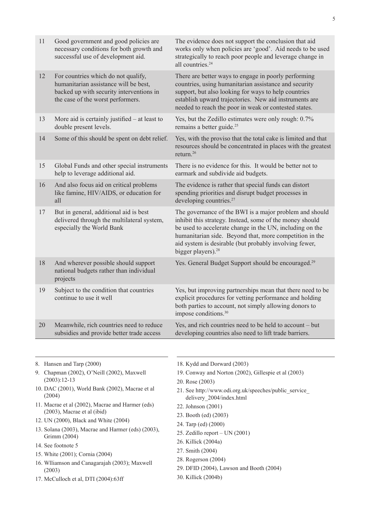| 11 | Good government and good policies are<br>necessary conditions for both growth and<br>successful use of development aid.                                       | The evidence does not support the conclusion that aid<br>works only when policies are 'good'. Aid needs to be used<br>strategically to reach poor people and leverage change in<br>all countries. <sup>24</sup>                                                                                                                        |
|----|---------------------------------------------------------------------------------------------------------------------------------------------------------------|----------------------------------------------------------------------------------------------------------------------------------------------------------------------------------------------------------------------------------------------------------------------------------------------------------------------------------------|
| 12 | For countries which do not qualify,<br>humanitarian assistance will be best,<br>backed up with security interventions in<br>the case of the worst performers. | There are better ways to engage in poorly performing<br>countries, using humanitarian assistance and security<br>support, but also looking for ways to help countries<br>establish upward trajectories. New aid instruments are<br>needed to reach the poor in weak or contested states.                                               |
| 13 | More aid is certainly justified $-$ at least to<br>double present levels.                                                                                     | Yes, but the Zedillo estimates were only rough: 0.7%<br>remains a better guide. <sup>25</sup>                                                                                                                                                                                                                                          |
| 14 | Some of this should be spent on debt relief.                                                                                                                  | Yes, with the proviso that the total cake is limited and that<br>resources should be concentrated in places with the greatest<br>return. <sup>26</sup>                                                                                                                                                                                 |
| 15 | Global Funds and other special instruments<br>help to leverage additional aid.                                                                                | There is no evidence for this. It would be better not to<br>earmark and subdivide aid budgets.                                                                                                                                                                                                                                         |
| 16 | And also focus aid on critical problems<br>like famine, HIV/AIDS, or education for<br>all                                                                     | The evidence is rather that special funds can distort<br>spending priorities and disrupt budget processes in<br>developing countries. <sup>27</sup>                                                                                                                                                                                    |
| 17 | But in general, additional aid is best<br>delivered through the multilateral system,<br>especially the World Bank                                             | The governance of the BWI is a major problem and should<br>inhibit this strategy. Instead, some of the money should<br>be used to accelerate change in the UN, including on the<br>humanitarian side. Beyond that, more competition in the<br>aid system is desirable (but probably involving fewer,<br>bigger players). <sup>28</sup> |
| 18 | And wherever possible should support<br>national budgets rather than individual<br>projects                                                                   | Yes. General Budget Support should be encouraged. <sup>29</sup>                                                                                                                                                                                                                                                                        |
| 19 | Subject to the condition that countries<br>continue to use it well                                                                                            | Yes, but improving partnerships mean that there need to be<br>explicit procedures for vetting performance and holding<br>both parties to account, not simply allowing donors to<br>impose conditions. <sup>30</sup>                                                                                                                    |
| 20 | Meanwhile, rich countries need to reduce<br>subsidies and provide better trade access                                                                         | Yes, and rich countries need to be held to account – but<br>developing countries also need to lift trade barriers.                                                                                                                                                                                                                     |

- 8. Hansen and Tarp (2000)
- 9. Chapman (2002), O'Neill (2002), Maxwell (2003):12-13
- 10. DAC (2001), World Bank (2002), Macrae et al (2004)
- 11. Macrae et al (2002), Macrae and Harmer (eds) (2003), Macrae et al (ibid)
- 12. UN (2000), Black and White (2004)
- 13. Solana (2003), Macrae and Harmer (eds) (2003), Grimm (2004)
- 14. See footnote 5
- 15. White (2001); Cornia (2004)
- 16. Wlliamson and Canagarajah (2003); Maxwell (2003)
- 17. McCulloch et al, DTI (2004):63ff
- 18. Kydd and Dorward (2003)
- 19. Conway and Norton (2002), Gillespie et al (2003)
- 20. Rose (2003)
- 21. See http://www.odi.org.uk/speeches/public\_service\_ delivery\_2004/index.html
- 22. Johnson (2001)
- 23. Booth (ed) (2003)
- 24. Tarp (ed) (2000)
- 25. Zedillo report UN (2001)
- 26. Killick (2004a)
- 27. Smith (2004)
- 28. Rogerson (2004)
- 29. DFID (2004), Lawson and Booth (2004)
- 30. Killick (2004b)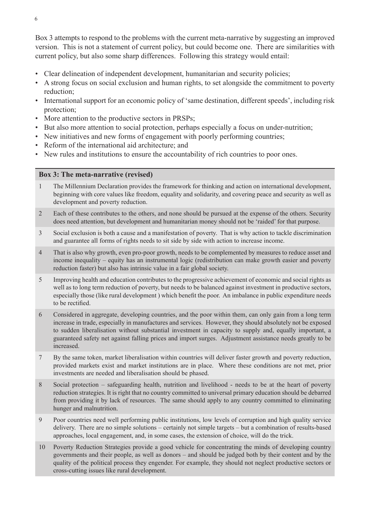Box 3 attempts to respond to the problems with the current meta-narrative by suggesting an improved version. This is not a statement of current policy, but could become one. There are similarities with current policy, but also some sharp differences. Following this strategy would entail:

- Clear delineation of independent development, humanitarian and security policies;
- A strong focus on social exclusion and human rights, to set alongside the commitment to poverty reduction;
- International support for an economic policy of 'same destination, different speeds', including risk protection;
- More attention to the productive sectors in PRSPs;
- But also more attention to social protection, perhaps especially a focus on under-nutrition;
- New initiatives and new forms of engagement with poorly performing countries;
- Reform of the international aid architecture; and
- New rules and institutions to ensure the accountability of rich countries to poor ones.

#### **Box 3: The meta-narrative (revised)**

- 1 The Millennium Declaration provides the framework for thinking and action on international development, beginning with core values like freedom, equality and solidarity, and covering peace and security as well as development and poverty reduction.
- 2 Each of these contributes to the others, and none should be pursued at the expense of the others. Security does need attention, but development and humanitarian money should not be 'raided' for that purpose.
- 3 Social exclusion is both a cause and a manifestation of poverty. That is why action to tackle discrimination and guarantee all forms of rights needs to sit side by side with action to increase income.
- 4 That is also why growth, even pro-poor growth, needs to be complemented by measures to reduce asset and income inequality – equity has an instrumental logic (redistribution can make growth easier and poverty reduction faster) but also has intrinsic value in a fair global society.
- 5 Improving health and education contributes to the progressive achievement of economic and social rights as well as to long term reduction of poverty, but needs to be balanced against investment in productive sectors, especially those (like rural development ) which benefit the poor. An imbalance in public expenditure needs to be rectified.
- 6 Considered in aggregate, developing countries, and the poor within them, can only gain from a long term increase in trade, especially in manufactures and services. However, they should absolutely not be exposed to sudden liberalisation without substantial investment in capacity to supply and, equally important, a guaranteed safety net against falling prices and import surges. Adjustment assistance needs greatly to be increased.
- 7 By the same token, market liberalisation within countries will deliver faster growth and poverty reduction, provided markets exist and market institutions are in place. Where these conditions are not met, prior investments are needed and liberalisation should be phased.
- 8 Social protection safeguarding health, nutrition and livelihood needs to be at the heart of poverty reduction strategies. It is right that no country committed to universal primary education should be debarred from providing it by lack of resources. The same should apply to any country committed to eliminating hunger and malnutrition.
- 9 Poor countries need well performing public institutions, low levels of corruption and high quality service delivery. There are no simple solutions – certainly not simple targets – but a combination of results-based approaches, local engagement, and, in some cases, the extension of choice, will do the trick.
- 10 Poverty Reduction Strategies provide a good vehicle for concentrating the minds of developing country governments and their people, as well as donors – and should be judged both by their content and by the quality of the political process they engender. For example, they should not neglect productive sectors or cross-cutting issues like rural development.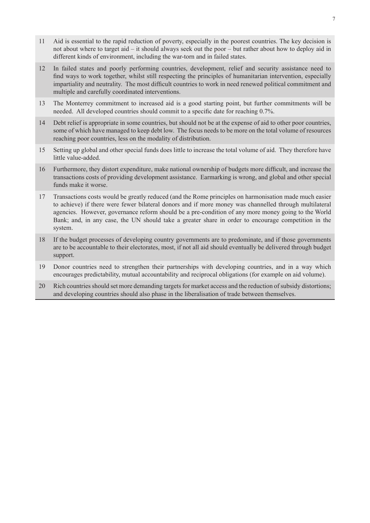- 11 Aid is essential to the rapid reduction of poverty, especially in the poorest countries. The key decision is not about where to target aid – it should always seek out the poor – but rather about how to deploy aid in different kinds of environment, including the war-torn and in failed states.
- 12 In failed states and poorly performing countries, development, relief and security assistance need to find ways to work together, whilst still respecting the principles of humanitarian intervention, especially impartiality and neutrality. The most difficult countries to work in need renewed political commitment and multiple and carefully coordinated interventions.
- 13 The Monterrey commitment to increased aid is a good starting point, but further commitments will be needed. All developed countries should commit to a specific date for reaching 0.7%.
- 14 Debt relief is appropriate in some countries, but should not be at the expense of aid to other poor countries, some of which have managed to keep debt low. The focus needs to be more on the total volume of resources reaching poor countries, less on the modality of distribution.
- 15 Setting up global and other special funds does little to increase the total volume of aid. They therefore have little value-added.
- 16 Furthermore, they distort expenditure, make national ownership of budgets more difficult, and increase the transactions costs of providing development assistance. Earmarking is wrong, and global and other special funds make it worse.
- 17 Transactions costs would be greatly reduced (and the Rome principles on harmonisation made much easier to achieve) if there were fewer bilateral donors and if more money was channelled through multilateral agencies. However, governance reform should be a pre-condition of any more money going to the World Bank; and, in any case, the UN should take a greater share in order to encourage competition in the system.
- 18 If the budget processes of developing country governments are to predominate, and if those governments are to be accountable to their electorates, most, if not all aid should eventually be delivered through budget support.
- 19 Donor countries need to strengthen their partnerships with developing countries, and in a way which encourages predictability, mutual accountability and reciprocal obligations (for example on aid volume).
- 20 Rich countries should set more demanding targets for market access and the reduction of subsidy distortions; and developing countries should also phase in the liberalisation of trade between themselves.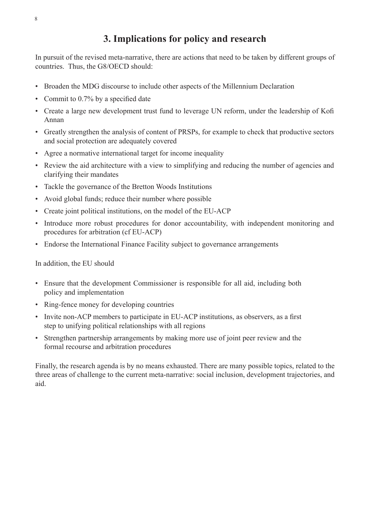# **3. Implications for policy and research**

In pursuit of the revised meta-narrative, there are actions that need to be taken by different groups of countries. Thus, the G8/OECD should:

- Broaden the MDG discourse to include other aspects of the Millennium Declaration
- Commit to 0.7% by a specified date
- Create a large new development trust fund to leverage UN reform, under the leadership of Kofi Annan
- Greatly strengthen the analysis of content of PRSPs, for example to check that productive sectors and social protection are adequately covered
- Agree a normative international target for income inequality
- Review the aid architecture with a view to simplifying and reducing the number of agencies and clarifying their mandates
- Tackle the governance of the Bretton Woods Institutions
- Avoid global funds; reduce their number where possible
- Create joint political institutions, on the model of the EU-ACP
- Introduce more robust procedures for donor accountability, with independent monitoring and procedures for arbitration (cf EU-ACP)
- Endorse the International Finance Facility subject to governance arrangements

In addition, the EU should

- Ensure that the development Commissioner is responsible for all aid, including both policy and implementation
- Ring-fence money for developing countries
- Invite non-ACP members to participate in EU-ACP institutions, as observers, as a first step to unifying political relationships with all regions
- Strengthen partnership arrangements by making more use of joint peer review and the formal recourse and arbitration procedures

Finally, the research agenda is by no means exhausted. There are many possible topics, related to the three areas of challenge to the current meta-narrative: social inclusion, development trajectories, and aid.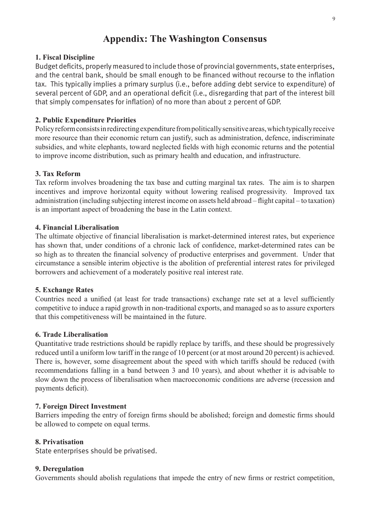# **Appendix: The Washington Consensus**

#### **1. Fiscal Discipline**

Budget deficits, properly measured to include those of provincial governments, state enterprises, and the central bank, should be small enough to be financed without recourse to the inflation tax. This typically implies a primary surplus (i.e., before adding debt service to expenditure) of several percent of GDP, and an operational deficit (i.e., disregarding that part of the interest bill that simply compensates for inflation) of no more than about 2 percent of GDP.

#### **2. Public Expenditure Priorities**

Policy reform consists in redirecting expenditure from politically sensitive areas, which typically receive more resource than their economic return can justify, such as administration, defence, indiscriminate subsidies, and white elephants, toward neglected fields with high economic returns and the potential to improve income distribution, such as primary health and education, and infrastructure.

#### **3. Tax Reform**

Tax reform involves broadening the tax base and cutting marginal tax rates. The aim is to sharpen incentives and improve horizontal equity without lowering realised progressivity. Improved tax administration (including subjecting interest income on assets held abroad – flight capital – to taxation) is an important aspect of broadening the base in the Latin context.

#### **4. Financial Liberalisation**

The ultimate objective of financial liberalisation is market-determined interest rates, but experience has shown that, under conditions of a chronic lack of confidence, market-determined rates can be so high as to threaten the financial solvency of productive enterprises and government. Under that circumstance a sensible interim objective is the abolition of preferential interest rates for privileged borrowers and achievement of a moderately positive real interest rate.

#### **5. Exchange Rates**

Countries need a unified (at least for trade transactions) exchange rate set at a level sufficiently competitive to induce a rapid growth in non-traditional exports, and managed so as to assure exporters that this competitiveness will be maintained in the future.

#### **6. Trade Liberalisation**

Quantitative trade restrictions should be rapidly replace by tariffs, and these should be progressively reduced until a uniform low tariff in the range of 10 percent (or at most around 20 percent) is achieved. There is, however, some disagreement about the speed with which tariffs should be reduced (with recommendations falling in a band between 3 and 10 years), and about whether it is advisable to slow down the process of liberalisation when macroeconomic conditions are adverse (recession and payments deficit).

#### **7. Foreign Direct Investment**

Barriers impeding the entry of foreign firms should be abolished; foreign and domestic firms should be allowed to compete on equal terms.

#### **8. Privatisation**

State enterprises should be privatised.

#### **9. Deregulation**

Governments should abolish regulations that impede the entry of new firms or restrict competition,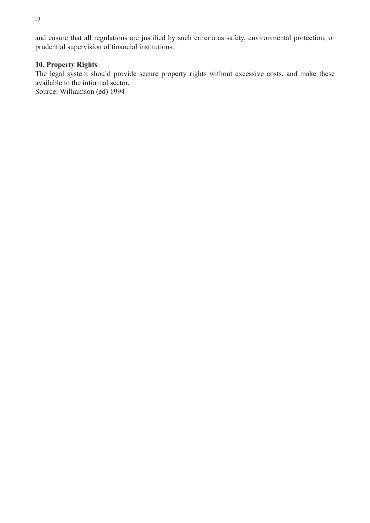and ensure that all regulations are justified by such criteria as safety, environmental protection, or prudential supervision of financial institutions.

### **10. Property Rights**

The legal system should provide secure property rights without excessive costs, and make these available to the informal sector.

Source: Williamson (ed) 1994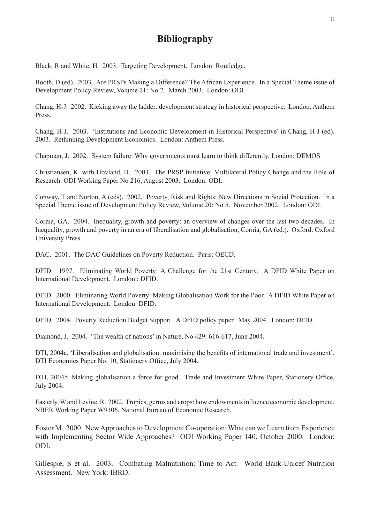## **Bibliography**

Black, R and White, H. 2003. Targeting Development. London: Routledge.

Booth, D (ed). 2003. Are PRSPs Making a Difference? The African Experience. In a Special Theme issue of Development Policy Review, Volume 21: No 2. March 2003. London: ODI

Chang, H-J. 2002. Kicking away the ladder: development strategy in historical perspective. London: Anthem Press.

Chang, H-J. 2003. 'Institutions and Economic Development in Historical Perspective' in Chang, H-J (ed). 2003. Rethinking Development Economics. London: Anthem Press.

Chapman, J. 2002. System failure: Why governments must learn to think differently, London: DEMOS

Christiansen, K. with Hovland, H. 2003. The PRSP Initiative: Multilateral Policy Change and the Role of Research. ODI Working Paper No 216, August 2003. London: ODI.

Conway, T and Norton, A (eds). 2002. Poverty, Risk and Rights: New Directions in Social Protection. In a Special Theme issue of Development Policy Review, Volume 20: No 5. November 2002. London: ODI.

Cornia, GA. 2004. Inequality, growth and poverty: an overview of changes over the last two decades. In Inequality, growth and poverty in an era of liberalisation and globalisation, Cornia, GA (ed.). Oxford: Oxford University Press.

DAC. 2001. The DAC Guidelines on Poverty Reduction. Paris: OECD.

DFID. 1997. Eliminating World Poverty: A Challenge for the 21st Century. A DFID White Paper on International Development. London : DFID.

DFID. 2000. Eliminating World Poverty: Making Globalisation Work for the Poor. A DFID White Paper on International Development. London: DFID.

DFID. 2004. Poverty Reduction Budget Support. A DFID policy paper. May 2004. London: DFID.

Diamond, J. 2004. 'The wealth of nations' in Nature, No 429: 616-617, June 2004.

DTI, 2004a, 'Liberalisation and globalisation: maximising the benefits of international trade and investment'. DTI Economics Paper No. 10, Stationery Office, July 2004.

DTI, 2004b, Making globalisation a force for good. Trade and Investment White Paper, Stationery Office, July 2004.

Easterly, W and Levine, R. 2002. Tropics, germs and crops: how endowments influence economic development. NBER Working Paper W9106, National Bureau of Economic Research.

Foster M. 2000. New Approaches to Development Co-operation: What can we Learn from Experience with Implementing Sector Wide Approaches? ODI Working Paper 140, October 2000. London: ODI.

Gillespie, S et al. 2003. Combating Malnutrition: Time to Act. World Bank-Unicef Nutrition Assessment. New York: IBRD.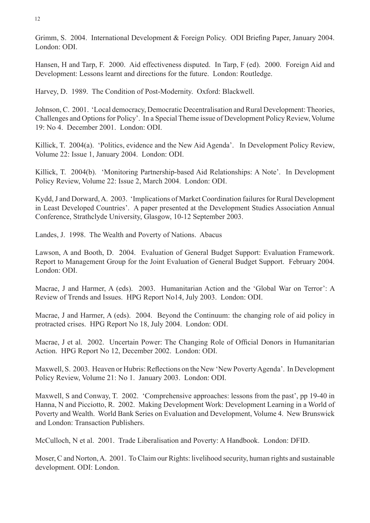Grimm, S. 2004. International Development & Foreign Policy. ODI Briefing Paper, January 2004. London: ODI.

Hansen, H and Tarp, F. 2000. Aid effectiveness disputed. In Tarp, F (ed). 2000. Foreign Aid and Development: Lessons learnt and directions for the future. London: Routledge.

Harvey, D. 1989. The Condition of Post-Modernity. Oxford: Blackwell.

Johnson, C. 2001. 'Local democracy, Democratic Decentralisation and Rural Development: Theories, Challenges and Options for Policy'. In a Special Theme issue of Development Policy Review, Volume 19: No 4. December 2001. London: ODI.

Killick, T. 2004(a). 'Politics, evidence and the New Aid Agenda'. In Development Policy Review, Volume 22: Issue 1, January 2004. London: ODI.

Killick, T. 2004(b). 'Monitoring Partnership-based Aid Relationships: A Note'. In Development Policy Review, Volume 22: Issue 2, March 2004. London: ODI.

Kydd, J and Dorward, A. 2003. 'Implications of Market Coordination failures for Rural Development in Least Developed Countries'. A paper presented at the Development Studies Association Annual Conference, Strathclyde University, Glasgow, 10-12 September 2003.

Landes, J. 1998. The Wealth and Poverty of Nations. Abacus

Lawson, A and Booth, D. 2004. Evaluation of General Budget Support: Evaluation Framework. Report to Management Group for the Joint Evaluation of General Budget Support. February 2004. London: ODI.

Macrae, J and Harmer, A (eds). 2003. Humanitarian Action and the 'Global War on Terror': A Review of Trends and Issues. HPG Report No14, July 2003. London: ODI.

Macrae, J and Harmer, A (eds). 2004. Beyond the Continuum: the changing role of aid policy in protracted crises. HPG Report No 18, July 2004. London: ODI.

Macrae, J et al. 2002. Uncertain Power: The Changing Role of Official Donors in Humanitarian Action. HPG Report No 12, December 2002. London: ODI.

Maxwell, S. 2003. Heaven or Hubris: Reflections on the New 'New Poverty Agenda'. In Development Policy Review, Volume 21: No 1. January 2003. London: ODI.

Maxwell, S and Conway, T. 2002. 'Comprehensive approaches: lessons from the past', pp 19-40 in Hanna, N and Picciotto, R. 2002. Making Development Work: Development Learning in a World of Poverty and Wealth. World Bank Series on Evaluation and Development, Volume 4. New Brunswick and London: Transaction Publishers.

McCulloch, N et al. 2001. Trade Liberalisation and Poverty: A Handbook. London: DFID.

Moser, C and Norton, A. 2001. To Claim our Rights: livelihood security, human rights and sustainable development. ODI: London.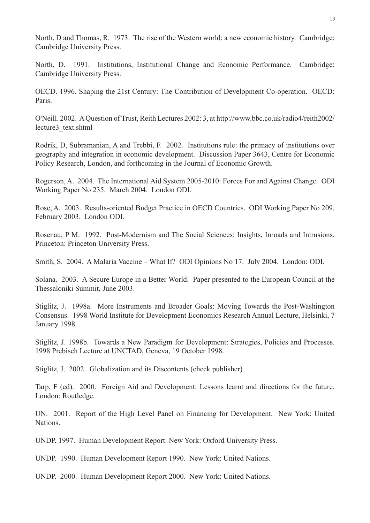North, D and Thomas, R. 1973. The rise of the Western world: a new economic history. Cambridge: Cambridge University Press.

North, D. 1991. Institutions, Institutional Change and Economic Performance. Cambridge: Cambridge University Press.

OECD. 1996. Shaping the 21st Century: The Contribution of Development Co-operation. OECD: Paris.

O'Neill. 2002. A Question of Trust, Reith Lectures 2002: 3, at http://www.bbc.co.uk/radio4/reith2002/ lecture3\_text.shtml

Rodrik, D, Subramanian, A and Trebbi, F. 2002. Institutions rule: the primacy of institutions over geography and integration in economic development. Discussion Paper 3643, Centre for Economic Policy Research, London, and forthcoming in the Journal of Economic Growth.

Rogerson, A. 2004. The International Aid System 2005-2010: Forces For and Against Change. ODI Working Paper No 235. March 2004. London ODI.

Rose, A. 2003. Results-oriented Budget Practice in OECD Countries. ODI Working Paper No 209. February 2003. London ODI.

Rosenau, P M. 1992. Post-Modernism and The Social Sciences: Insights, Inroads and Intrusions. Princeton: Princeton University Press.

Smith, S. 2004. A Malaria Vaccine – What If? ODI Opinions No 17. July 2004. London: ODI.

Solana. 2003. A Secure Europe in a Better World. Paper presented to the European Council at the Thessaloniki Summit, June 2003.

Stiglitz, J. 1998a. More Instruments and Broader Goals: Moving Towards the Post-Washington Consensus. 1998 World Institute for Development Economics Research Annual Lecture, Helsinki, 7 January 1998.

Stiglitz, J. 1998b. Towards a New Paradigm for Development: Strategies, Policies and Processes. 1998 Prebisch Lecture at UNCTAD, Geneva, 19 October 1998.

Stiglitz, J. 2002. Globalization and its Discontents (check publisher)

Tarp, F (ed). 2000. Foreign Aid and Development: Lessons learnt and directions for the future. London: Routledge.

UN. 2001. Report of the High Level Panel on Financing for Development. New York: United Nations.

UNDP. 1997. Human Development Report. New York: Oxford University Press.

UNDP. 1990. Human Development Report 1990. New York: United Nations.

UNDP. 2000. Human Development Report 2000. New York: United Nations.